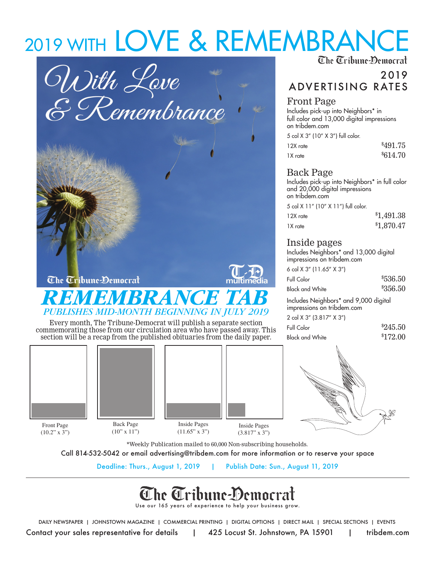# 2019 WITH LOVE & REMEMBRANCE





Every month, The Tribune-Democrat will publish a separate section commemorating those from our circulation area who have passed away. This section will be a recap from the published obituaries from the daily paper.



 $(10.2" x 3")$ 





### 2019 ADVERTISING RATES

#### Front Page

Includes pick-up into Neighbors\* in full color and 13,000 digital impressions on tribdem.com

5 col X 3" (10" X 3") full color.

| 12X rate | \$491.75            |
|----------|---------------------|
| 1X rate  | <sup>\$614.70</sup> |

#### Back Page

Includes pick-up into Neighbors\* in full color and 20,000 digital impressions on tribdem.com

5 col X 11" (10" X 11") full color.

| 12X rate | \$1,491.38 |
|----------|------------|
| 1X rate  | \$1,870.47 |

#### Inside pages

Includes Neighbors\* and 13,000 digital impressions on tribdem.com

| 6 col X 3" (11.65" X 3")              |          |
|---------------------------------------|----------|
| Full Color                            | \$536.50 |
| <b>Black and White</b>                | \$356.50 |
| Includes Neighbors* and 9,000 digital |          |

impressions on tribdem.com  $2^{10}$  col  $2^{10}$   $2^{17}$   $2^{10}$   $2^{10}$ 

| $\angle$ COI A $\cup$ [ $\cup$ .81/ A $\cup$ ] |          |
|------------------------------------------------|----------|
| Full Color                                     | \$245.50 |
| <b>Black and White</b>                         | \$172.00 |



\*Weekly Publication mailed to 60,000 Non-subscribing households.

Call 814-532-5042 or email advertising@tribdem.com for more information or to reserve your space

Deadline: Thurs., August 1, 2019 | Publish Date: Sun., August 11, 2019

## The Tribune-Democra

Use our 165 years of experience to help your business grow.

Contact your sales representative for details | 425 Locust St. Johnstown, PA 15901 | tribdem.com DAILY NEWSPAPER | JOHNSTOWN MAGAZINE | COMMERCIAL PRINTING | DIGITAL OPTIONS | DIRECT MAIL | SPECIAL SECTIONS | EVENTS